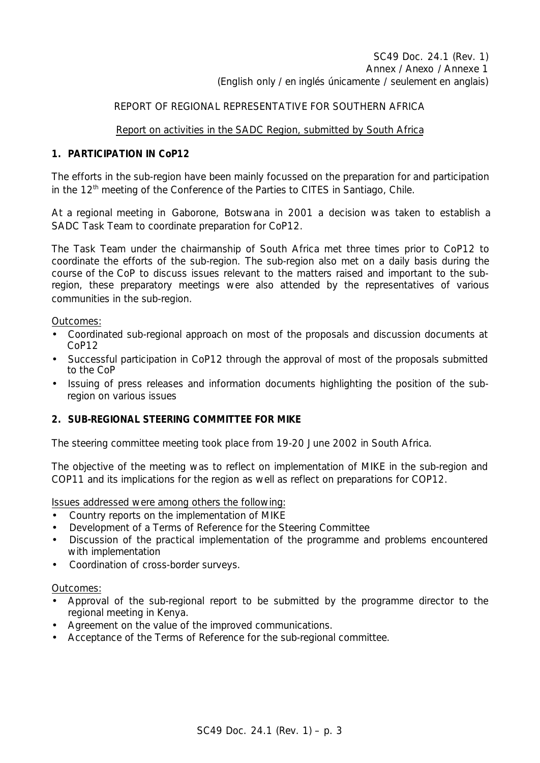# REPORT OF REGIONAL REPRESENTATIVE FOR SOUTHERN AFRICA

## Report on activities in the SADC Region, submitted by South Africa

# **1. PARTICIPATION IN CoP12**

The efforts in the sub-region have been mainly focussed on the preparation for and participation in the  $12<sup>th</sup>$  meeting of the Conference of the Parties to CITES in Santiago, Chile.

At a regional meeting in Gaborone, Botswana in 2001 a decision was taken to establish a SADC Task Team to coordinate preparation for CoP12.

The Task Team under the chairmanship of South Africa met three times prior to CoP12 to coordinate the efforts of the sub-region. The sub-region also met on a daily basis during the course of the CoP to discuss issues relevant to the matters raised and important to the subregion, these preparatory meetings were also attended by the representatives of various communities in the sub-region.

## Outcomes:

- Coordinated sub-regional approach on most of the proposals and discussion documents at CoP12
- Successful participation in CoP12 through the approval of most of the proposals submitted to the CoP
- Issuing of press releases and information documents highlighting the position of the subregion on various issues

# **2. SUB-REGIONAL STEERING COMMITTEE FOR MIKE**

The steering committee meeting took place from 19-20 June 2002 in South Africa.

The objective of the meeting was to reflect on implementation of MIKE in the sub-region and COP11 and its implications for the region as well as reflect on preparations for COP12.

Issues addressed were among others the following:

- Country reports on the implementation of MIKE
- Development of a Terms of Reference for the Steering Committee
- Discussion of the practical implementation of the programme and problems encountered with implementation
- Coordination of cross-border surveys.

## Outcomes:

- Approval of the sub-regional report to be submitted by the programme director to the regional meeting in Kenya.
- Agreement on the value of the improved communications.
- Acceptance of the Terms of Reference for the sub-regional committee.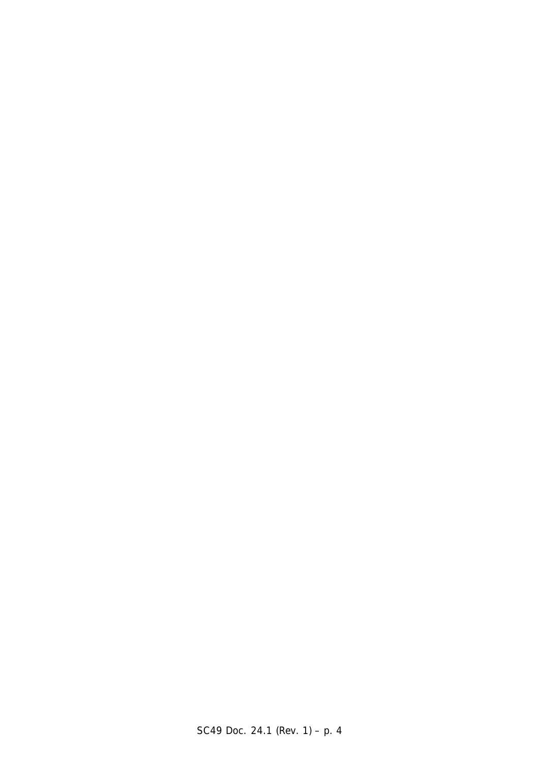SC49 Doc. 24.1 (Rev. 1) – p. 4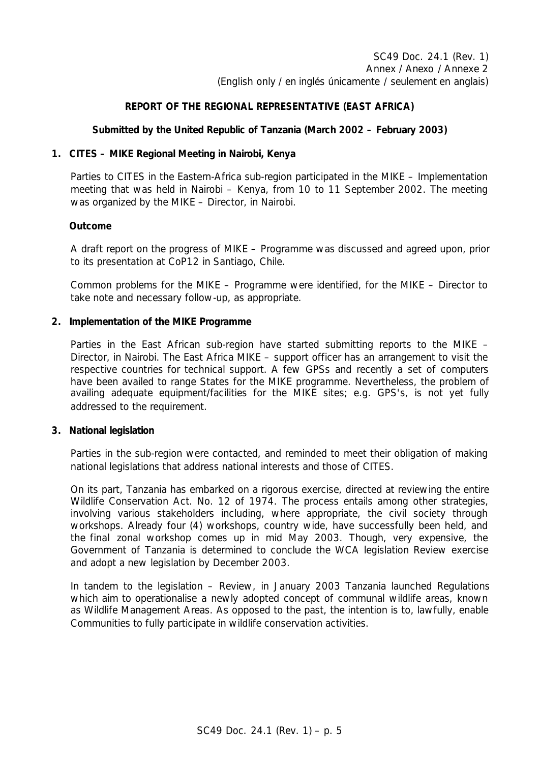# **REPORT OF THE REGIONAL REPRESENTATIVE (EAST AFRICA)**

# **Submitted by the United Republic of Tanzania (March 2002 – February 2003)**

# **1. CITES – MIKE Regional Meeting in Nairobi, Kenya**

Parties to CITES in the Eastern-Africa sub-region participated in the MIKE – Implementation meeting that was held in Nairobi – Kenya, from 10 to 11 September 2002. The meeting was organized by the MIKE – Director, in Nairobi.

## **Outcome**

A draft report on the progress of MIKE – Programme was discussed and agreed upon, prior to its presentation at CoP12 in Santiago, Chile.

Common problems for the MIKE – Programme were identified, for the MIKE – Director to take note and necessary follow-up, as appropriate.

## **2. Implementation of the MIKE Programme**

Parties in the East African sub-region have started submitting reports to the MIKE – Director, in Nairobi. The East Africa MIKE – support officer has an arrangement to visit the respective countries for technical support. A few GPSs and recently a set of computers have been availed to range States for the MIKE programme. Nevertheless, the problem of availing adequate equipment/facilities for the MIKE sites; e.g. GPS's, is not yet fully addressed to the requirement.

## **3. National legislation**

Parties in the sub-region were contacted, and reminded to meet their obligation of making national legislations that address national interests and those of CITES.

On its part, Tanzania has embarked on a rigorous exercise, directed at reviewing the entire Wildlife Conservation Act. No. 12 of 1974. The process entails among other strategies, involving various stakeholders including, where appropriate, the civil society through workshops. Already four (4) workshops, country wide, have successfully been held, and the final zonal workshop comes up in mid May 2003. Though, very expensive, the Government of Tanzania is determined to conclude the WCA legislation Review exercise and adopt a new legislation by December 2003.

In tandem to the legislation – Review, in January 2003 Tanzania launched Regulations which aim to operationalise a newly adopted concept of communal wildlife areas, known as Wildlife Management Areas. As opposed to the past, the intention is to, lawfully, enable Communities to fully participate in wildlife conservation activities.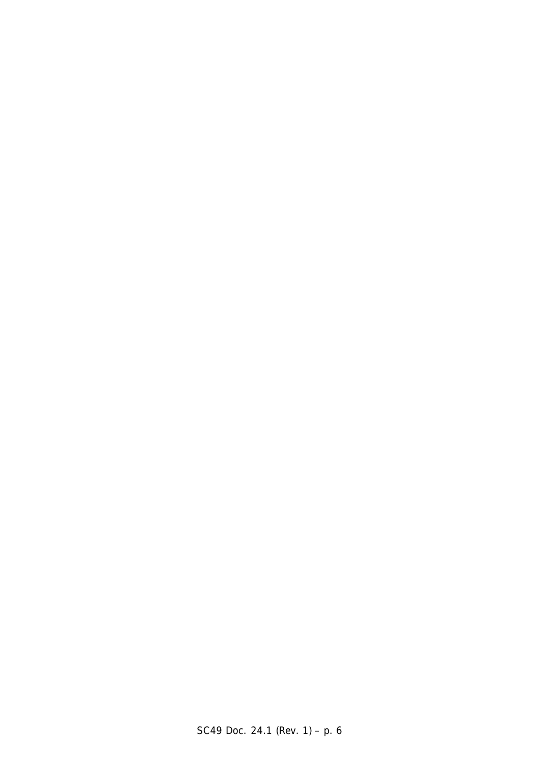SC49 Doc. 24.1 (Rev. 1) – p. 6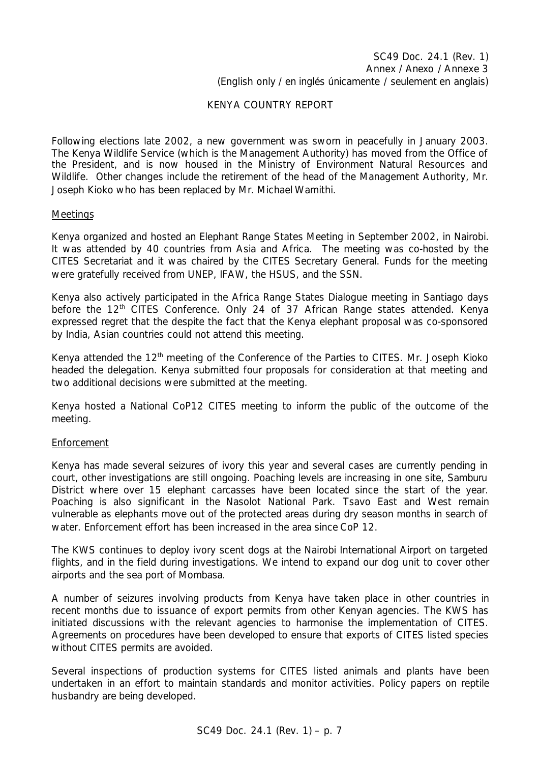## KENYA COUNTRY REPORT

Following elections late 2002, a new government was sworn in peacefully in January 2003. The Kenya Wildlife Service (which is the Management Authority) has moved from the Office of the President, and is now housed in the Ministry of Environment Natural Resources and Wildlife. Other changes include the retirement of the head of the Management Authority, Mr. Joseph Kioko who has been replaced by Mr. Michael Wamithi.

## Meetings

Kenya organized and hosted an Elephant Range States Meeting in September 2002, in Nairobi. It was attended by 40 countries from Asia and Africa. The meeting was co-hosted by the CITES Secretariat and it was chaired by the CITES Secretary General. Funds for the meeting were gratefully received from UNEP, IFAW, the HSUS, and the SSN.

Kenya also actively participated in the Africa Range States Dialogue meeting in Santiago days before the 12<sup>th</sup> CITES Conference. Only 24 of 37 African Range states attended. Kenya expressed regret that the despite the fact that the Kenya elephant proposal was co-sponsored by India, Asian countries could not attend this meeting.

Kenya attended the 12<sup>th</sup> meeting of the Conference of the Parties to CITES. Mr. Joseph Kioko headed the delegation. Kenya submitted four proposals for consideration at that meeting and two additional decisions were submitted at the meeting.

Kenya hosted a National CoP12 CITES meeting to inform the public of the outcome of the meeting.

## **Enforcement**

Kenya has made several seizures of ivory this year and several cases are currently pending in court, other investigations are still ongoing. Poaching levels are increasing in one site, Samburu District where over 15 elephant carcasses have been located since the start of the year. Poaching is also significant in the Nasolot National Park. Tsavo East and West remain vulnerable as elephants move out of the protected areas during dry season months in search of water. Enforcement effort has been increased in the area since CoP 12.

The KWS continues to deploy ivory scent dogs at the Nairobi International Airport on targeted flights, and in the field during investigations. We intend to expand our dog unit to cover other airports and the sea port of Mombasa.

A number of seizures involving products from Kenya have taken place in other countries in recent months due to issuance of export permits from other Kenyan agencies. The KWS has initiated discussions with the relevant agencies to harmonise the implementation of CITES. Agreements on procedures have been developed to ensure that exports of CITES listed species without CITES permits are avoided.

Several inspections of production systems for CITES listed animals and plants have been undertaken in an effort to maintain standards and monitor activities. Policy papers on reptile husbandry are being developed.